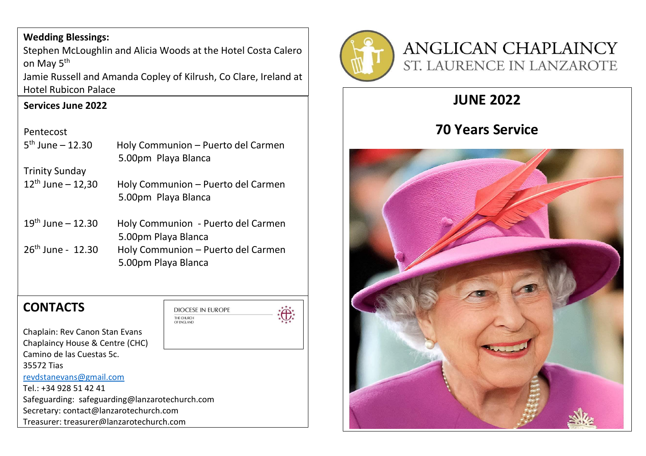### **Wedding Blessings:**

Stephen McLoughlin and Alicia Woods at the Hotel Costa Calero on May 5<sup>th</sup>

Jamie Russell and Amanda Copley of Kilrush, Co Clare, Ireland at Hotel Rubicon Palace

### **Services June 2022**

#### Pentecost

| $5^{th}$ June - 12.30  | Holy Communion - Puerto del Carmen<br>5.00pm Playa Blanca |
|------------------------|-----------------------------------------------------------|
| <b>Trinity Sunday</b>  |                                                           |
| $12^{th}$ June - 12,30 | Holy Communion - Puerto del Carmen<br>5.00pm Playa Blanca |
| $19^{th}$ June – 12.30 | Holy Communion - Puerto del Carmen<br>5.00pm Playa Blanca |
| $26th$ June - 12.30    | Holy Communion - Puerto del Carmen<br>5.00pm Playa Blanca |

THE CHURCH

### **CONTACTS**



Chaplain: Rev Canon Stan Evans Chaplaincy House & Centre (CHC) Camino de las Cuestas 5c. 35572 Tias [revdstanevans@gmail.com](mailto:revdstanevans@gmail.com) Tel.: +34 928 51 42 41 Safeguarding: safeguarding@lanzarotechurch.com Secretary: contact@lanzarotechurch.com Treasurer: treasurer@lanzarotechurch.com



# **ANGLICAN CHAPLAINCY** ST. LAURENCE IN LANZAROTE

## **JUNE 2022**

### **70 Years Service**